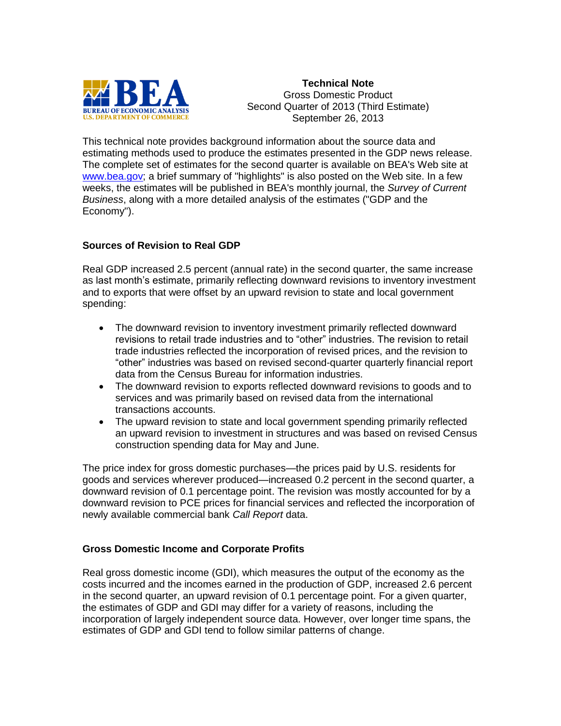

**Technical Note** Gross Domestic Product Second Quarter of 2013 (Third Estimate) September 26, 2013

This technical note provides background information about the source data and estimating methods used to produce the estimates presented in the GDP news release. The complete set of estimates for the second quarter is available on BEA's Web site at [www.bea.gov;](http://www.bea.gov/) a brief summary of "highlights" is also posted on the Web site. In a few weeks, the estimates will be published in BEA's monthly journal, the *Survey of Current Business*, along with a more detailed analysis of the estimates ("GDP and the Economy").

## **Sources of Revision to Real GDP**

Real GDP increased 2.5 percent (annual rate) in the second quarter, the same increase as last month's estimate, primarily reflecting downward revisions to inventory investment and to exports that were offset by an upward revision to state and local government spending:

- The downward revision to inventory investment primarily reflected downward revisions to retail trade industries and to "other" industries. The revision to retail trade industries reflected the incorporation of revised prices, and the revision to "other" industries was based on revised second-quarter quarterly financial report data from the Census Bureau for information industries.
- The downward revision to exports reflected downward revisions to goods and to services and was primarily based on revised data from the international transactions accounts.
- The upward revision to state and local government spending primarily reflected an upward revision to investment in structures and was based on revised Census construction spending data for May and June.

The price index for gross domestic purchases—the prices paid by U.S. residents for goods and services wherever produced—increased 0.2 percent in the second quarter, a downward revision of 0.1 percentage point. The revision was mostly accounted for by a downward revision to PCE prices for financial services and reflected the incorporation of newly available commercial bank *Call Report* data.

## **Gross Domestic Income and Corporate Profits**

Real gross domestic income (GDI), which measures the output of the economy as the costs incurred and the incomes earned in the production of GDP, increased 2.6 percent in the second quarter, an upward revision of 0.1 percentage point. For a given quarter, the estimates of GDP and GDI may differ for a variety of reasons, including the incorporation of largely independent source data. However, over longer time spans, the estimates of GDP and GDI tend to follow similar patterns of change.